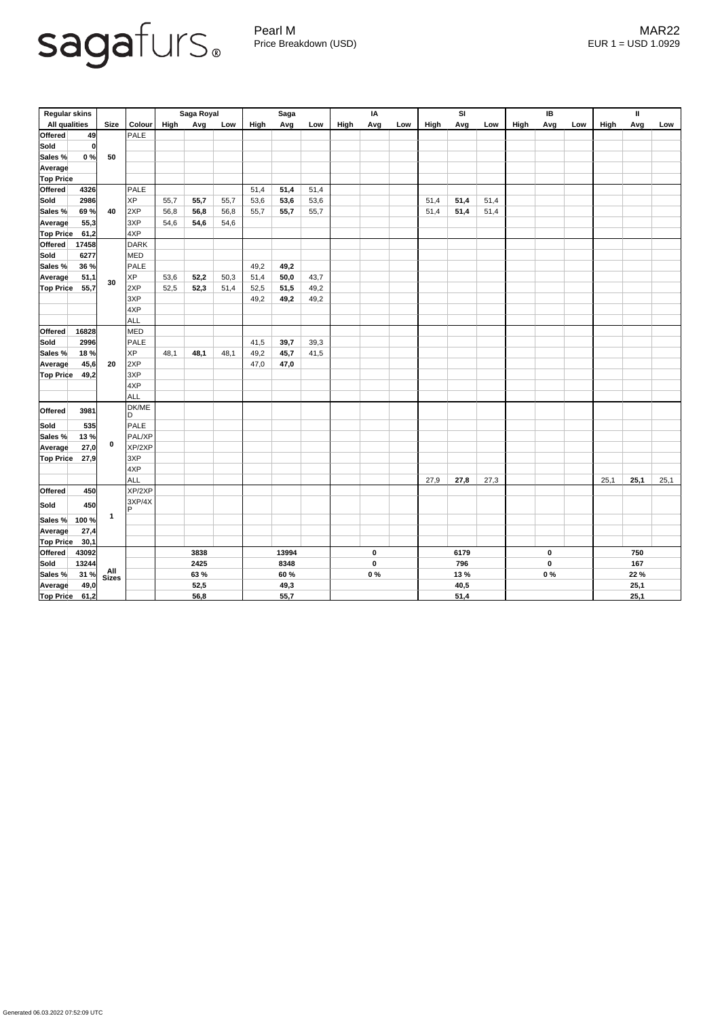## sagafurs.

Pearl M MAR22 Price Breakdown (USD) error and the USD 1.0929

| <b>Regular skins</b>     |              |               | Saga Royal |      |      | Saga |       |       | IA        |      |      | SI   |       |                  | IB   |     | $\mathbf{I}$ |      |      |      |
|--------------------------|--------------|---------------|------------|------|------|------|-------|-------|-----------|------|------|------|-------|------------------|------|-----|--------------|------|------|------|
| <b>All qualities</b>     | <b>Size</b>  | Colour        | High       | Avg  | Low  | High | Avg   | Low   | High      | Avg  | Low  | High | Avg   | Low              | High | Avg | Low          | High | Avg  | Low  |
| Offered<br>49            |              | PALE          |            |      |      |      |       |       |           |      |      |      |       |                  |      |     |              |      |      |      |
| Sold<br> 0               | 50           |               |            |      |      |      |       |       |           |      |      |      |       |                  |      |     |              |      |      |      |
| 0%<br>Sales %            |              |               |            |      |      |      |       |       |           |      |      |      |       |                  |      |     |              |      |      |      |
| <b>Average</b>           |              |               |            |      |      |      |       |       |           |      |      |      |       |                  |      |     |              |      |      |      |
| <b>Top Price</b>         |              |               |            |      |      |      |       |       |           |      |      |      |       |                  |      |     |              |      |      |      |
| <b>Offered</b><br>4326   | 40           | PALE          |            |      |      | 51,4 | 51,4  | 51,4  |           |      |      |      |       |                  |      |     |              |      |      |      |
| <b>Sold</b><br>2986      |              | <b>XP</b>     | 55,7       | 55,7 | 55,7 | 53,6 | 53,6  | 53,6  |           |      |      | 51,4 | 51,4  | 51,4             |      |     |              |      |      |      |
| Sales %<br>69 %          |              | 2XP           | 56,8       | 56,8 | 56,8 | 55,7 | 55,7  | 55,7  |           |      |      | 51,4 | 51,4  | 51,4             |      |     |              |      |      |      |
| 55,3<br><b>Average</b>   |              | 3XP           | 54,6       | 54,6 | 54,6 |      |       |       |           |      |      |      |       |                  |      |     |              |      |      |      |
| <b>Top Price</b><br>61,2 |              | 4XP           |            |      |      |      |       |       |           |      |      |      |       |                  |      |     |              |      |      |      |
| <b>Offered</b><br>17458  |              | DARK          |            |      |      |      |       |       |           |      |      |      |       |                  |      |     |              |      |      |      |
| Sold<br>6277             |              | <b>MED</b>    |            |      |      |      |       |       |           |      |      |      |       |                  |      |     |              |      |      |      |
| Sales %<br>36 %          |              | PALE          |            |      |      | 49,2 | 49,2  |       |           |      |      |      |       |                  |      |     |              |      |      |      |
| 51,1<br><b>Average</b>   |              | <b>XP</b>     | 53,6       | 52,2 | 50,3 | 51,4 | 50,0  | 43,7  |           |      |      |      |       |                  |      |     |              |      |      |      |
| <b>Top Price</b><br>55,7 | 30           | 2XP           | 52,5       | 52,3 | 51,4 | 52,5 | 51,5  | 49,2  |           |      |      |      |       |                  |      |     |              |      |      |      |
|                          |              | 3XP           |            |      |      | 49,2 | 49,2  | 49,2  |           |      |      |      |       |                  |      |     |              |      |      |      |
|                          |              | 4XP           |            |      |      |      |       |       |           |      |      |      |       |                  |      |     |              |      |      |      |
|                          |              | <b>ALL</b>    |            |      |      |      |       |       |           |      |      |      |       |                  |      |     |              |      |      |      |
| Offered<br>16828         | 20           | <b>MED</b>    |            |      |      |      |       |       |           |      |      |      |       |                  |      |     |              |      |      |      |
| <b>Sold</b><br>2996      |              | PALE          |            |      |      | 41,5 | 39,7  | 39,3  |           |      |      |      |       |                  |      |     |              |      |      |      |
| Sales %<br>18 %          |              | <b>XP</b>     | 48,1       | 48,1 | 48,1 | 49,2 | 45,7  | 41,5  |           |      |      |      |       |                  |      |     |              |      |      |      |
| 45,6<br><b>Average</b>   |              | 2XP           |            |      |      | 47,0 | 47,0  |       |           |      |      |      |       |                  |      |     |              |      |      |      |
| <b>Top Price</b><br>49,2 |              | 3XP           |            |      |      |      |       |       |           |      |      |      |       |                  |      |     |              |      |      |      |
|                          |              | 4XP           |            |      |      |      |       |       |           |      |      |      |       |                  |      |     |              |      |      |      |
|                          |              | ALL           |            |      |      |      |       |       |           |      |      |      |       |                  |      |     |              |      |      |      |
| Offered<br>3981          | $\mathbf 0$  | DK/ME         |            |      |      |      |       |       |           |      |      |      |       |                  |      |     |              |      |      |      |
|                          |              | ID.           |            |      |      |      |       |       |           |      |      |      |       |                  |      |     |              |      |      |      |
| <b>Sold</b><br>535       |              | <b>PALE</b>   |            |      |      |      |       |       |           |      |      |      |       |                  |      |     |              |      |      |      |
| Sales %<br>13%           |              | PAL/XP        |            |      |      |      |       |       |           |      |      |      |       |                  |      |     |              |      |      |      |
| 27,0<br>Average          |              | XP/2XP        |            |      |      |      |       |       |           |      |      |      |       |                  |      |     |              |      |      |      |
| <b>Top Price</b><br>27,9 |              | 3XP           |            |      |      |      |       |       |           |      |      |      |       |                  |      |     |              |      |      |      |
|                          |              | 4XP           |            |      |      |      |       |       |           |      |      |      |       |                  |      |     |              |      |      |      |
| <b>Offered</b>           |              | ALL<br>XP/2XP |            |      |      |      |       |       |           |      |      | 27,9 | 27,8  | 27,3             |      |     |              | 25,1 | 25,1 | 25,1 |
| 450                      |              | 3XP/4X        |            |      |      |      |       |       |           |      |      |      |       |                  |      |     |              |      |      |      |
| <b>Sold</b><br>450       |              | IP.           |            |      |      |      |       |       |           |      |      |      |       |                  |      |     |              |      |      |      |
| Sales %<br>100 %         | $\mathbf{1}$ |               |            |      |      |      |       |       |           |      |      |      |       |                  |      |     |              |      |      |      |
| 27,4<br>Average          |              |               |            |      |      |      |       |       |           |      |      |      |       |                  |      |     |              |      |      |      |
| <b>Top Price</b><br>30,1 |              |               |            |      |      |      |       |       |           |      |      |      |       |                  |      |     |              |      |      |      |
| <b>Offered</b><br>43092  |              |               |            | 3838 |      |      | 13994 |       | $\pmb{0}$ |      | 6179 |      |       | $\boldsymbol{0}$ |      | 750 |              |      |      |      |
| Sold<br>13244            | All<br>Sizes |               | 2425       |      |      | 8348 |       |       | $\pmb{0}$ |      | 796  |      |       | $\boldsymbol{0}$ |      | 167 |              |      |      |      |
| 31%<br>Sales %           |              |               | 63 %       |      |      | 60 % |       | $0\%$ |           | 13 % |      |      | $0\%$ |                  | 22 % |     |              |      |      |      |
| 49,0<br><b>Average</b>   |              |               | 52,5       |      |      | 49,3 |       |       |           |      |      | 40,5 |       |                  |      |     | 25,1         |      |      |      |
| <b>Top Price</b><br>61,2 |              |               | 56,8       |      |      | 55,7 |       |       |           |      |      | 51,4 |       |                  |      |     |              | 25,1 |      |      |